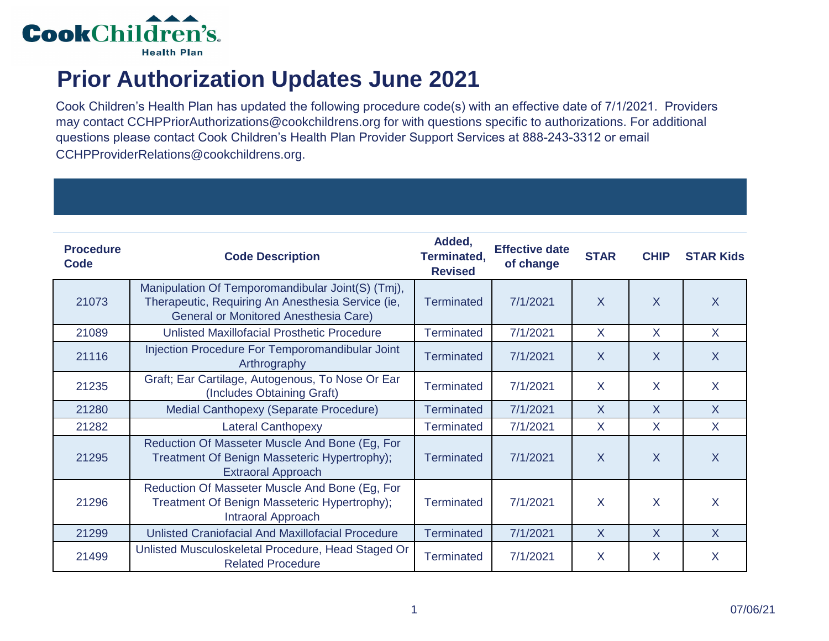

## **Prior Authorization Updates June 2021**

Cook Children's Health Plan has updated the following procedure code(s) with an effective date of 7/1/2021. Providers may contact CCHPPriorAuthorizations@cookchildrens.org for with questions specific to authorizations. For additional questions please contact Cook Children's Health Plan Provider Support Services at 888-243-3312 or email CCHPProviderRelations@cookchildrens.org.

| <b>Procedure</b><br>Code | <b>Code Description</b>                                                                                                                         | Added,<br>Terminated,<br><b>Revised</b> | <b>Effective date</b><br>of change | <b>STAR</b>  | <b>CHIP</b>    | <b>STAR Kids</b> |
|--------------------------|-------------------------------------------------------------------------------------------------------------------------------------------------|-----------------------------------------|------------------------------------|--------------|----------------|------------------|
| 21073                    | Manipulation Of Temporomandibular Joint(S) (Tmj),<br>Therapeutic, Requiring An Anesthesia Service (ie,<br>General or Monitored Anesthesia Care) | Terminated                              | 7/1/2021                           | $\sf X$      | $\overline{X}$ | $\overline{X}$   |
| 21089                    | Unlisted Maxillofacial Prosthetic Procedure                                                                                                     | <b>Terminated</b>                       | 7/1/2021                           | $\mathsf{X}$ | $\sf X$        | $\mathsf{X}$     |
| 21116                    | Injection Procedure For Temporomandibular Joint<br>Arthrography                                                                                 | Terminated                              | 7/1/2021                           | $\sf X$      | $\sf X$        | $\sf X$          |
| 21235                    | Graft; Ear Cartilage, Autogenous, To Nose Or Ear<br>(Includes Obtaining Graft)                                                                  | <b>Terminated</b>                       | 7/1/2021                           | $\mathsf{X}$ | $\sf X$        | $\sf X$          |
| 21280                    | Medial Canthopexy (Separate Procedure)                                                                                                          | <b>Terminated</b>                       | 7/1/2021                           | $\sf X$      | $\sf X$        | $\mathsf{X}$     |
| 21282                    | <b>Lateral Canthopexy</b>                                                                                                                       | <b>Terminated</b>                       | 7/1/2021                           | X            | $\sf X$        | $\sf X$          |
| 21295                    | Reduction Of Masseter Muscle And Bone (Eg, For<br>Treatment Of Benign Masseteric Hypertrophy);<br><b>Extraoral Approach</b>                     | <b>Terminated</b>                       | 7/1/2021                           | $\sf X$      | $\overline{X}$ | X                |
| 21296                    | Reduction Of Masseter Muscle And Bone (Eg, For<br>Treatment Of Benign Masseteric Hypertrophy);<br><b>Intraoral Approach</b>                     | <b>Terminated</b>                       | 7/1/2021                           | X            | $\sf X$        | X                |
| 21299                    | <b>Unlisted Craniofacial And Maxillofacial Procedure</b>                                                                                        | <b>Terminated</b>                       | 7/1/2021                           | $\mathsf{X}$ | $\mathsf{X}$   | $\mathsf{X}$     |
| 21499                    | Unlisted Musculoskeletal Procedure, Head Staged Or<br><b>Related Procedure</b>                                                                  | Terminated                              | 7/1/2021                           | X            | X              | X                |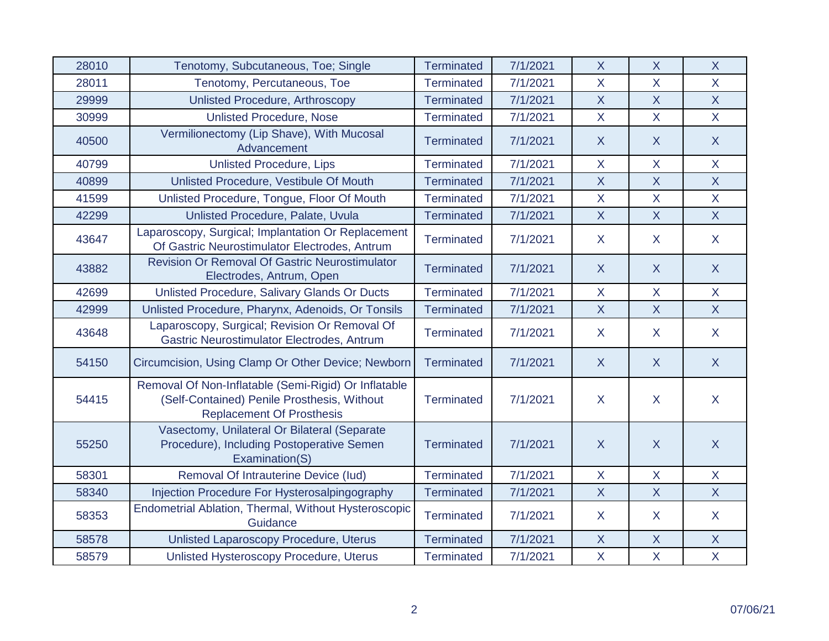| 28010 | Tenotomy, Subcutaneous, Toe; Single                                                                                                     | <b>Terminated</b> | 7/1/2021 | $\mathsf{X}$   | $\mathsf{X}$   | $\mathsf{X}$            |
|-------|-----------------------------------------------------------------------------------------------------------------------------------------|-------------------|----------|----------------|----------------|-------------------------|
| 28011 | Tenotomy, Percutaneous, Toe                                                                                                             | <b>Terminated</b> | 7/1/2021 | $\overline{X}$ | $\overline{X}$ | $\overline{X}$          |
| 29999 | <b>Unlisted Procedure, Arthroscopy</b>                                                                                                  | <b>Terminated</b> | 7/1/2021 | $\mathsf{X}$   | $\mathsf{X}$   | $\overline{X}$          |
| 30999 | <b>Unlisted Procedure, Nose</b>                                                                                                         | <b>Terminated</b> | 7/1/2021 | $\mathsf{X}$   | $\mathsf{X}$   | $\overline{\mathsf{X}}$ |
| 40500 | Vermilionectomy (Lip Shave), With Mucosal<br>Advancement                                                                                | <b>Terminated</b> | 7/1/2021 | $\sf X$        | $\sf X$        | $\sf X$                 |
| 40799 | <b>Unlisted Procedure, Lips</b>                                                                                                         | <b>Terminated</b> | 7/1/2021 | $\mathsf{X}$   | $\mathsf{X}$   | $\overline{\mathsf{X}}$ |
| 40899 | Unlisted Procedure, Vestibule Of Mouth                                                                                                  | <b>Terminated</b> | 7/1/2021 | $\mathsf{X}$   | $\mathsf{X}$   | $\sf X$                 |
| 41599 | Unlisted Procedure, Tongue, Floor Of Mouth                                                                                              | <b>Terminated</b> | 7/1/2021 | $\mathsf{X}$   | $\mathsf{X}$   | $\mathsf{X}$            |
| 42299 | Unlisted Procedure, Palate, Uvula                                                                                                       | <b>Terminated</b> | 7/1/2021 | X              | $\mathsf{X}$   | $\overline{X}$          |
| 43647 | Laparoscopy, Surgical; Implantation Or Replacement<br>Of Gastric Neurostimulator Electrodes, Antrum                                     | <b>Terminated</b> | 7/1/2021 | $\mathsf{X}$   | $\mathsf{X}$   | $\mathsf{X}$            |
| 43882 | <b>Revision Or Removal Of Gastric Neurostimulator</b><br>Electrodes, Antrum, Open                                                       | <b>Terminated</b> | 7/1/2021 | $\sf X$        | $\mathsf{X}$   | $\sf X$                 |
| 42699 | Unlisted Procedure, Salivary Glands Or Ducts                                                                                            | <b>Terminated</b> | 7/1/2021 | $\mathsf{X}$   | $\mathsf{X}$   | $\sf X$                 |
| 42999 | Unlisted Procedure, Pharynx, Adenoids, Or Tonsils                                                                                       | <b>Terminated</b> | 7/1/2021 | $\overline{X}$ | $\overline{X}$ | $\overline{X}$          |
| 43648 | Laparoscopy, Surgical; Revision Or Removal Of<br>Gastric Neurostimulator Electrodes, Antrum                                             | <b>Terminated</b> | 7/1/2021 | $\sf X$        | $\mathsf{X}$   | $\mathsf{X}$            |
| 54150 | Circumcision, Using Clamp Or Other Device; Newborn                                                                                      | <b>Terminated</b> | 7/1/2021 | $\sf X$        | $\overline{X}$ | $\sf X$                 |
| 54415 | Removal Of Non-Inflatable (Semi-Rigid) Or Inflatable<br>(Self-Contained) Penile Prosthesis, Without<br><b>Replacement Of Prosthesis</b> | <b>Terminated</b> | 7/1/2021 | $\sf X$        | $\mathsf{X}$   | $\sf X$                 |
| 55250 | Vasectomy, Unilateral Or Bilateral (Separate<br>Procedure), Including Postoperative Semen<br>Examination(S)                             | <b>Terminated</b> | 7/1/2021 | $\overline{X}$ | $\overline{X}$ | $\overline{X}$          |
| 58301 | Removal Of Intrauterine Device (lud)                                                                                                    | <b>Terminated</b> | 7/1/2021 | $\mathsf{X}$   | $\mathsf{X}$   | $\overline{\mathsf{X}}$ |
| 58340 | Injection Procedure For Hysterosalpingography                                                                                           | <b>Terminated</b> | 7/1/2021 | $\overline{X}$ | $\overline{X}$ | $\overline{X}$          |
| 58353 | Endometrial Ablation, Thermal, Without Hysteroscopic<br>Guidance                                                                        | <b>Terminated</b> | 7/1/2021 | $\sf X$        | $\mathsf{X}$   | $\mathsf{X}$            |
| 58578 | Unlisted Laparoscopy Procedure, Uterus                                                                                                  | <b>Terminated</b> | 7/1/2021 | $\mathsf{X}$   | $\mathsf{X}$   | $\overline{X}$          |
| 58579 | Unlisted Hysteroscopy Procedure, Uterus                                                                                                 | <b>Terminated</b> | 7/1/2021 | $\mathsf{X}$   | $\mathsf{X}$   | $\mathsf{X}$            |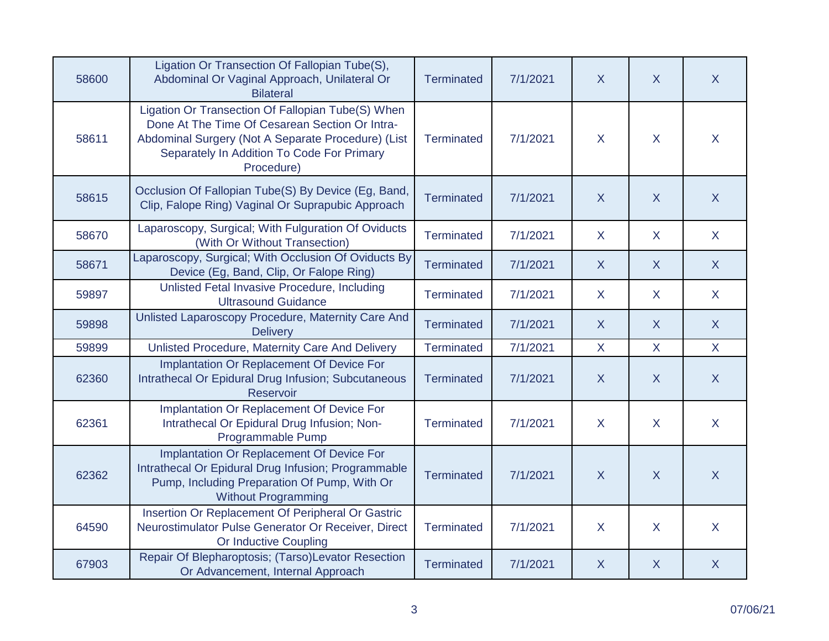| 58600 | Ligation Or Transection Of Fallopian Tube(S),<br>Abdominal Or Vaginal Approach, Unilateral Or<br><b>Bilateral</b>                                                                                                     | <b>Terminated</b> | 7/1/2021 | $\sf X$          | $\sf X$        | $\mathsf{X}$   |
|-------|-----------------------------------------------------------------------------------------------------------------------------------------------------------------------------------------------------------------------|-------------------|----------|------------------|----------------|----------------|
| 58611 | Ligation Or Transection Of Fallopian Tube(S) When<br>Done At The Time Of Cesarean Section Or Intra-<br>Abdominal Surgery (Not A Separate Procedure) (List<br>Separately In Addition To Code For Primary<br>Procedure) | <b>Terminated</b> | 7/1/2021 | X                | $\sf X$        | X              |
| 58615 | Occlusion Of Fallopian Tube(S) By Device (Eg, Band,<br>Clip, Falope Ring) Vaginal Or Suprapubic Approach                                                                                                              | <b>Terminated</b> | 7/1/2021 | $\sf X$          | $\sf X$        | $\mathsf{X}$   |
| 58670 | Laparoscopy, Surgical; With Fulguration Of Oviducts<br>(With Or Without Transection)                                                                                                                                  | <b>Terminated</b> | 7/1/2021 | $\sf X$          | X              | $\sf X$        |
| 58671 | Laparoscopy, Surgical; With Occlusion Of Oviducts By<br>Device (Eg, Band, Clip, Or Falope Ring)                                                                                                                       | <b>Terminated</b> | 7/1/2021 | $\sf X$          | $\sf X$        | $\mathsf{X}$   |
| 59897 | Unlisted Fetal Invasive Procedure, Including<br><b>Ultrasound Guidance</b>                                                                                                                                            | <b>Terminated</b> | 7/1/2021 | X                | X              | $\mathsf{X}$   |
| 59898 | Unlisted Laparoscopy Procedure, Maternity Care And<br><b>Delivery</b>                                                                                                                                                 | Terminated        | 7/1/2021 | $\boldsymbol{X}$ | $\sf X$        | $\mathsf{X}$   |
| 59899 | Unlisted Procedure, Maternity Care And Delivery                                                                                                                                                                       | Terminated        | 7/1/2021 | $\mathsf{X}$     | X              | $\mathsf{X}$   |
| 62360 | Implantation Or Replacement Of Device For<br>Intrathecal Or Epidural Drug Infusion; Subcutaneous<br>Reservoir                                                                                                         | <b>Terminated</b> | 7/1/2021 | $\boldsymbol{X}$ | $\overline{X}$ | $\sf X$        |
| 62361 | Implantation Or Replacement Of Device For<br>Intrathecal Or Epidural Drug Infusion; Non-<br>Programmable Pump                                                                                                         | <b>Terminated</b> | 7/1/2021 | X                | X              | $\sf X$        |
| 62362 | Implantation Or Replacement Of Device For<br>Intrathecal Or Epidural Drug Infusion; Programmable<br>Pump, Including Preparation Of Pump, With Or<br><b>Without Programming</b>                                        | <b>Terminated</b> | 7/1/2021 | $\overline{X}$   | $\overline{X}$ | $\overline{X}$ |
| 64590 | Insertion Or Replacement Of Peripheral Or Gastric<br>Neurostimulator Pulse Generator Or Receiver, Direct<br>Or Inductive Coupling                                                                                     | <b>Terminated</b> | 7/1/2021 | X                | X              | $\sf X$        |
| 67903 | Repair Of Blepharoptosis; (Tarso)Levator Resection<br>Or Advancement, Internal Approach                                                                                                                               | <b>Terminated</b> | 7/1/2021 | $\sf X$          | X              | $\mathsf{X}$   |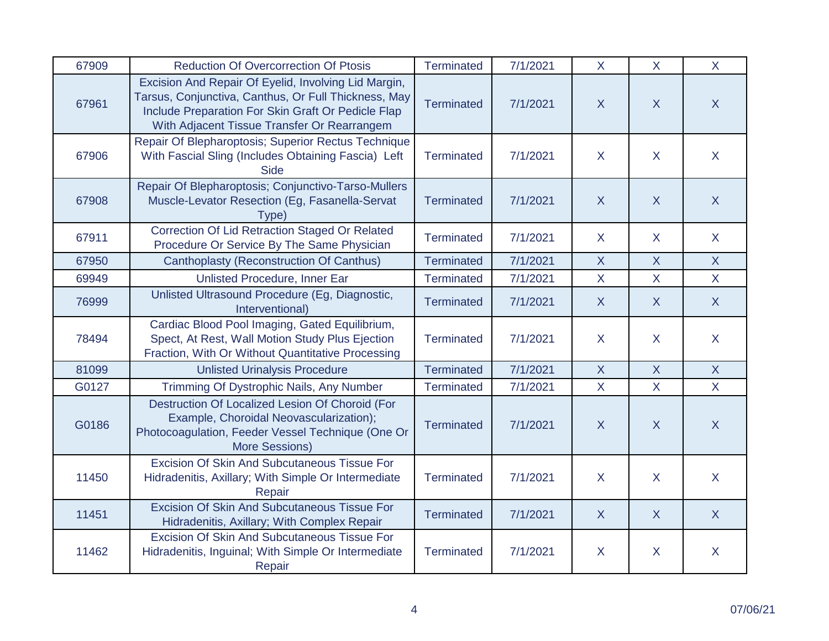| 67909 | <b>Reduction Of Overcorrection Of Ptosis</b>                                                                                                                                                                      | Terminated        | 7/1/2021 | $\mathsf{X}$   | $\mathsf{X}$   | $\mathsf{X}$   |
|-------|-------------------------------------------------------------------------------------------------------------------------------------------------------------------------------------------------------------------|-------------------|----------|----------------|----------------|----------------|
| 67961 | Excision And Repair Of Eyelid, Involving Lid Margin,<br>Tarsus, Conjunctiva, Canthus, Or Full Thickness, May<br>Include Preparation For Skin Graft Or Pedicle Flap<br>With Adjacent Tissue Transfer Or Rearrangem | <b>Terminated</b> | 7/1/2021 | $\mathsf{X}$   | $\overline{X}$ | $\sf X$        |
| 67906 | Repair Of Blepharoptosis; Superior Rectus Technique<br>With Fascial Sling (Includes Obtaining Fascia) Left<br><b>Side</b>                                                                                         | <b>Terminated</b> | 7/1/2021 | $\mathsf{X}$   | $\overline{X}$ | $\mathsf{X}$   |
| 67908 | Repair Of Blepharoptosis; Conjunctivo-Tarso-Mullers<br>Muscle-Levator Resection (Eg, Fasanella-Servat<br>Type)                                                                                                    | <b>Terminated</b> | 7/1/2021 | $\overline{X}$ | $\overline{X}$ | $\mathsf{X}$   |
| 67911 | <b>Correction Of Lid Retraction Staged Or Related</b><br>Procedure Or Service By The Same Physician                                                                                                               | <b>Terminated</b> | 7/1/2021 | $\mathsf{X}$   | $\mathsf{X}$   | $\mathsf{X}$   |
| 67950 | <b>Canthoplasty (Reconstruction Of Canthus)</b>                                                                                                                                                                   | <b>Terminated</b> | 7/1/2021 | $\mathsf{X}$   | $\mathsf{X}$   | $\mathsf{X}$   |
| 69949 | Unlisted Procedure, Inner Ear                                                                                                                                                                                     | <b>Terminated</b> | 7/1/2021 | $\mathsf{X}$   | $\mathsf{X}$   | $\overline{X}$ |
| 76999 | Unlisted Ultrasound Procedure (Eg, Diagnostic,<br>Interventional)                                                                                                                                                 | <b>Terminated</b> | 7/1/2021 | $\sf X$        | $\sf X$        | $\mathsf{X}$   |
| 78494 | Cardiac Blood Pool Imaging, Gated Equilibrium,<br>Spect, At Rest, Wall Motion Study Plus Ejection<br>Fraction, With Or Without Quantitative Processing                                                            | <b>Terminated</b> | 7/1/2021 | $\sf X$        | $\mathsf{X}$   | $\sf X$        |
| 81099 | <b>Unlisted Urinalysis Procedure</b>                                                                                                                                                                              | <b>Terminated</b> | 7/1/2021 | $\mathsf{X}$   | $\sf X$        | $\mathsf{X}$   |
| G0127 | Trimming Of Dystrophic Nails, Any Number                                                                                                                                                                          | Terminated        | 7/1/2021 | $\overline{X}$ | $\mathsf{X}$   | $\overline{X}$ |
| G0186 | Destruction Of Localized Lesion Of Choroid (For<br>Example, Choroidal Neovascularization);<br>Photocoagulation, Feeder Vessel Technique (One Or<br>More Sessions)                                                 | <b>Terminated</b> | 7/1/2021 | $\mathsf{X}$   | $\mathsf{X}$   | $\mathsf{X}$   |
| 11450 | <b>Excision Of Skin And Subcutaneous Tissue For</b><br>Hidradenitis, Axillary; With Simple Or Intermediate<br>Repair                                                                                              | <b>Terminated</b> | 7/1/2021 | $\mathsf{X}$   | $\mathsf{X}$   | $\mathsf{X}$   |
| 11451 | <b>Excision Of Skin And Subcutaneous Tissue For</b><br>Hidradenitis, Axillary; With Complex Repair                                                                                                                | <b>Terminated</b> | 7/1/2021 | $\mathsf{X}$   | $\overline{X}$ | $\overline{X}$ |
| 11462 | <b>Excision Of Skin And Subcutaneous Tissue For</b><br>Hidradenitis, Inguinal; With Simple Or Intermediate<br>Repair                                                                                              | <b>Terminated</b> | 7/1/2021 | $\sf X$        | X              | X              |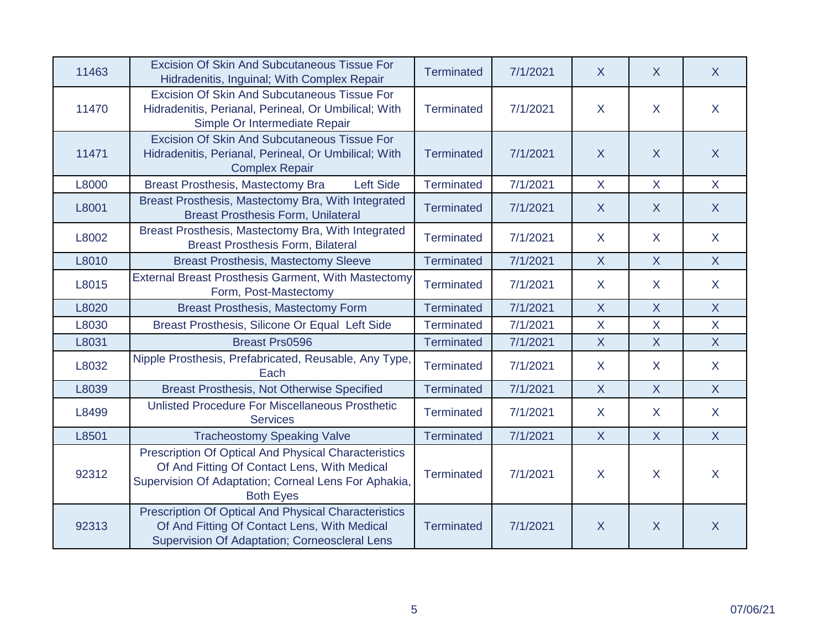| 11463 | <b>Excision Of Skin And Subcutaneous Tissue For</b><br>Hidradenitis, Inguinal; With Complex Repair                                                                               | <b>Terminated</b> | 7/1/2021 | X              | $\sf X$        | $\sf X$        |
|-------|----------------------------------------------------------------------------------------------------------------------------------------------------------------------------------|-------------------|----------|----------------|----------------|----------------|
| 11470 | Excision Of Skin And Subcutaneous Tissue For<br>Hidradenitis, Perianal, Perineal, Or Umbilical; With<br>Simple Or Intermediate Repair                                            | <b>Terminated</b> | 7/1/2021 | X.             | $\sf X$        | X              |
| 11471 | Excision Of Skin And Subcutaneous Tissue For<br>Hidradenitis, Perianal, Perineal, Or Umbilical; With<br><b>Complex Repair</b>                                                    | <b>Terminated</b> | 7/1/2021 | X              | $\sf X$        | $\mathsf{X}$   |
| L8000 | Breast Prosthesis, Mastectomy Bra<br><b>Left Side</b>                                                                                                                            | <b>Terminated</b> | 7/1/2021 | $\mathsf{X}$   | X              | $\mathsf{X}$   |
| L8001 | Breast Prosthesis, Mastectomy Bra, With Integrated<br><b>Breast Prosthesis Form, Unilateral</b>                                                                                  | <b>Terminated</b> | 7/1/2021 | X              | $\mathsf{X}$   | $\mathsf{X}$   |
| L8002 | Breast Prosthesis, Mastectomy Bra, With Integrated<br><b>Breast Prosthesis Form, Bilateral</b>                                                                                   | <b>Terminated</b> | 7/1/2021 | X              | $\mathsf{X}$   | $\mathsf{X}$   |
| L8010 | <b>Breast Prosthesis, Mastectomy Sleeve</b>                                                                                                                                      | <b>Terminated</b> | 7/1/2021 | $\mathsf{X}$   | $\mathsf{X}$   | $\mathsf{X}$   |
| L8015 | <b>External Breast Prosthesis Garment, With Mastectomy</b><br>Form, Post-Mastectomy                                                                                              | <b>Terminated</b> | 7/1/2021 | $\mathsf{X}$   | $\sf X$        | X              |
| L8020 | <b>Breast Prosthesis, Mastectomy Form</b>                                                                                                                                        | <b>Terminated</b> | 7/1/2021 | $\mathsf{X}$   | X              | $\mathsf{X}$   |
| L8030 | Breast Prosthesis, Silicone Or Equal Left Side                                                                                                                                   | <b>Terminated</b> | 7/1/2021 | $\overline{X}$ | $\overline{X}$ | $\overline{X}$ |
| L8031 | <b>Breast Prs0596</b>                                                                                                                                                            | <b>Terminated</b> | 7/1/2021 | X              | $\mathsf{X}$   | X              |
| L8032 | Nipple Prosthesis, Prefabricated, Reusable, Any Type,<br>Each                                                                                                                    | <b>Terminated</b> | 7/1/2021 | X.             | $\sf X$        | $\mathsf{X}$   |
| L8039 | <b>Breast Prosthesis, Not Otherwise Specified</b>                                                                                                                                | <b>Terminated</b> | 7/1/2021 | $\overline{X}$ | $\overline{X}$ | $\mathsf{X}$   |
| L8499 | Unlisted Procedure For Miscellaneous Prosthetic<br><b>Services</b>                                                                                                               | <b>Terminated</b> | 7/1/2021 | $\mathsf{X}$   | $\mathsf{X}$   | $\mathsf{X}$   |
| L8501 | <b>Tracheostomy Speaking Valve</b>                                                                                                                                               | <b>Terminated</b> | 7/1/2021 | $\mathsf{X}$   | $\overline{X}$ | $\overline{X}$ |
| 92312 | Prescription Of Optical And Physical Characteristics<br>Of And Fitting Of Contact Lens, With Medical<br>Supervision Of Adaptation; Corneal Lens For Aphakia,<br><b>Both Eyes</b> | <b>Terminated</b> | 7/1/2021 | $\mathsf{X}$   | $\sf X$        | $\mathsf{X}$   |
| 92313 | <b>Prescription Of Optical And Physical Characteristics</b><br>Of And Fitting Of Contact Lens, With Medical<br>Supervision Of Adaptation; Corneoscleral Lens                     | <b>Terminated</b> | 7/1/2021 | $\mathsf{X}$   | $\sf X$        | $\mathsf{X}$   |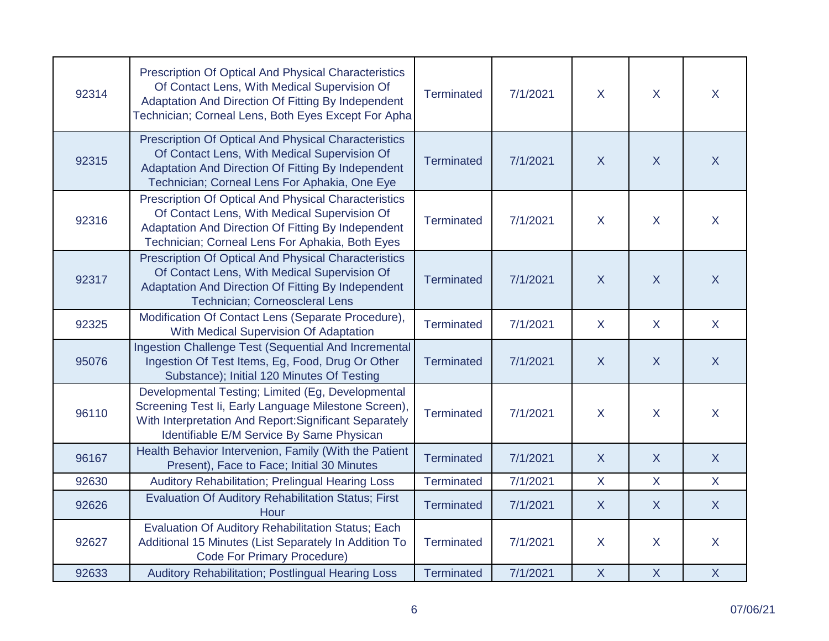| 92314 | <b>Prescription Of Optical And Physical Characteristics</b><br>Of Contact Lens, With Medical Supervision Of<br>Adaptation And Direction Of Fitting By Independent<br>Technician; Corneal Lens, Both Eyes Except For Apha | <b>Terminated</b> | 7/1/2021 | X              | X              | $\sf X$        |
|-------|--------------------------------------------------------------------------------------------------------------------------------------------------------------------------------------------------------------------------|-------------------|----------|----------------|----------------|----------------|
| 92315 | Prescription Of Optical And Physical Characteristics<br>Of Contact Lens, With Medical Supervision Of<br>Adaptation And Direction Of Fitting By Independent<br>Technician; Corneal Lens For Aphakia, One Eye              | <b>Terminated</b> | 7/1/2021 | $\overline{X}$ | $\sf X$        | $\sf X$        |
| 92316 | Prescription Of Optical And Physical Characteristics<br>Of Contact Lens, With Medical Supervision Of<br>Adaptation And Direction Of Fitting By Independent<br>Technician; Corneal Lens For Aphakia, Both Eyes            | <b>Terminated</b> | 7/1/2021 | X              | $\sf X$        | $\sf X$        |
| 92317 | <b>Prescription Of Optical And Physical Characteristics</b><br>Of Contact Lens, With Medical Supervision Of<br>Adaptation And Direction Of Fitting By Independent<br>Technician; Corneoscleral Lens                      | <b>Terminated</b> | 7/1/2021 | X              | $\sf X$        | $\sf X$        |
| 92325 | Modification Of Contact Lens (Separate Procedure),<br>With Medical Supervision Of Adaptation                                                                                                                             | <b>Terminated</b> | 7/1/2021 | $\sf X$        | $\sf X$        | $\sf X$        |
| 95076 | Ingestion Challenge Test (Sequential And Incremental<br>Ingestion Of Test Items, Eg, Food, Drug Or Other<br>Substance); Initial 120 Minutes Of Testing                                                                   | <b>Terminated</b> | 7/1/2021 | $\sf X$        | $\sf X$        | $\sf X$        |
| 96110 | Developmental Testing; Limited (Eg, Developmental<br>Screening Test Ii, Early Language Milestone Screen),<br>With Interpretation And Report: Significant Separately<br>Identifiable E/M Service By Same Physican         | <b>Terminated</b> | 7/1/2021 | X              | X              | $\sf X$        |
| 96167 | Health Behavior Intervenion, Family (With the Patient<br>Present), Face to Face; Initial 30 Minutes                                                                                                                      | <b>Terminated</b> | 7/1/2021 | $\overline{X}$ | $\overline{X}$ | $\overline{X}$ |
| 92630 | Auditory Rehabilitation; Prelingual Hearing Loss                                                                                                                                                                         | Terminated        | 7/1/2021 | $\mathsf{X}$   | $\mathsf{X}$   | $\mathsf{X}$   |
| 92626 | <b>Evaluation Of Auditory Rehabilitation Status; First</b><br>Hour                                                                                                                                                       | <b>Terminated</b> | 7/1/2021 | $\sf X$        | $\sf X$        | $\sf X$        |
| 92627 | Evaluation Of Auditory Rehabilitation Status; Each<br>Additional 15 Minutes (List Separately In Addition To<br><b>Code For Primary Procedure)</b>                                                                        | Terminated        | 7/1/2021 | X              | X              | X              |
| 92633 | Auditory Rehabilitation; Postlingual Hearing Loss                                                                                                                                                                        | Terminated        | 7/1/2021 | $\mathsf{X}$   | $\sf X$        | $\mathsf{X}$   |